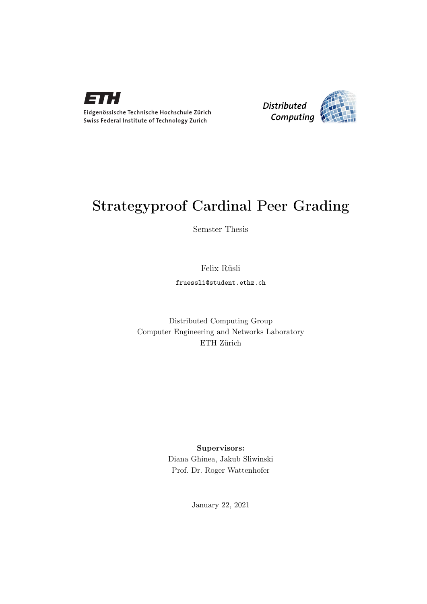

Eidgenössische Technische Hochschule Zürich Swiss Federal Institute of Technology Zurich



# Strategyproof Cardinal Peer Grading

Semster Thesis

## Felix Rüsli

fruessli@student.ethz.ch

## Distributed Computing Group Computer Engineering and Networks Laboratory ETH Zürich

## Supervisors:

Diana Ghinea, Jakub Sliwinski Prof. Dr. Roger Wattenhofer

January 22, 2021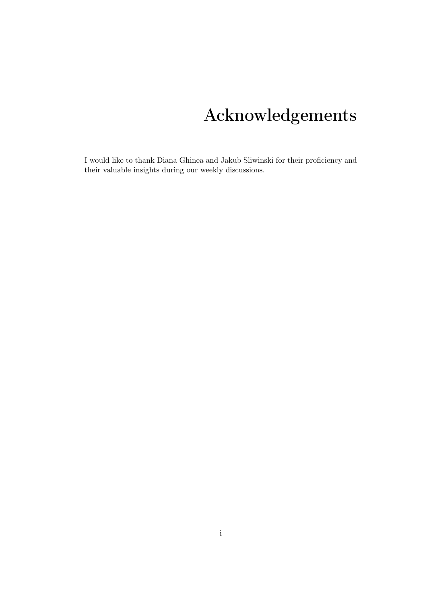# Acknowledgements

<span id="page-1-0"></span>I would like to thank Diana Ghinea and Jakub Sliwinski for their proficiency and their valuable insights during our weekly discussions.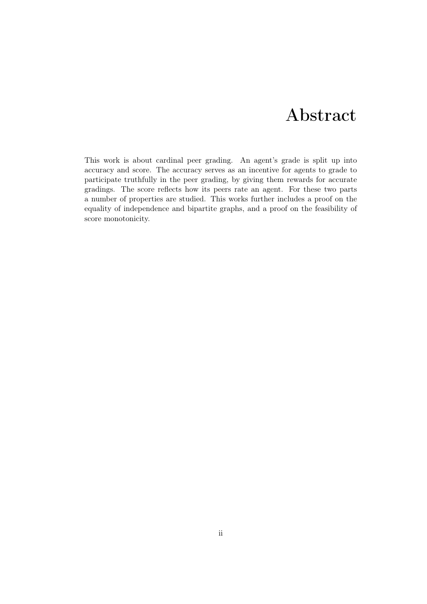# Abstract

<span id="page-2-0"></span>This work is about cardinal peer grading. An agent's grade is split up into accuracy and score. The accuracy serves as an incentive for agents to grade to participate truthfully in the peer grading, by giving them rewards for accurate gradings. The score reflects how its peers rate an agent. For these two parts a number of properties are studied. This works further includes a proof on the equality of independence and bipartite graphs, and a proof on the feasibility of score monotonicity.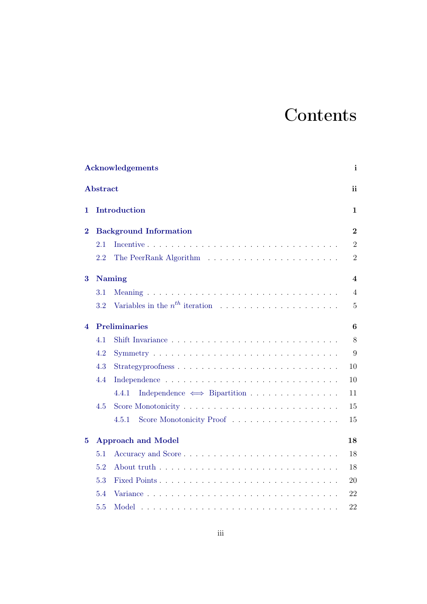# **Contents**

| Acknowledgements |                                 |                                          |                |  |
|------------------|---------------------------------|------------------------------------------|----------------|--|
| Abstract         |                                 |                                          |                |  |
| 1                |                                 | Introduction                             | 1              |  |
| $\bf{2}$         | <b>Background Information</b>   |                                          |                |  |
|                  | 2.1                             |                                          | $\overline{2}$ |  |
|                  | 2.2                             |                                          | $\overline{2}$ |  |
| 3                |                                 | <b>Naming</b>                            | 4              |  |
|                  | 3.1                             |                                          | $\overline{4}$ |  |
|                  | $3.2\,$                         |                                          | $5\,$          |  |
| 4                | <b>Preliminaries</b>            |                                          |                |  |
|                  | 4.1                             |                                          | $8\,$          |  |
|                  | 4.2                             |                                          | 9              |  |
|                  | 4.3                             | Strategyproofness                        | 10             |  |
|                  | 4.4                             |                                          | 10             |  |
|                  |                                 | Independence $\iff$ Bipartition<br>4.4.1 | 11             |  |
|                  | 4.5                             |                                          | 15             |  |
|                  |                                 | Score Monotonicity Proof<br>4.5.1        | 15             |  |
| 5                | <b>Approach and Model</b><br>18 |                                          |                |  |
|                  | 5.1                             |                                          | 18             |  |
|                  | 5.2                             |                                          | 18             |  |
|                  | 5.3                             |                                          | 20             |  |
|                  | 5.4                             |                                          | 22             |  |
|                  | 5.5                             |                                          | 22             |  |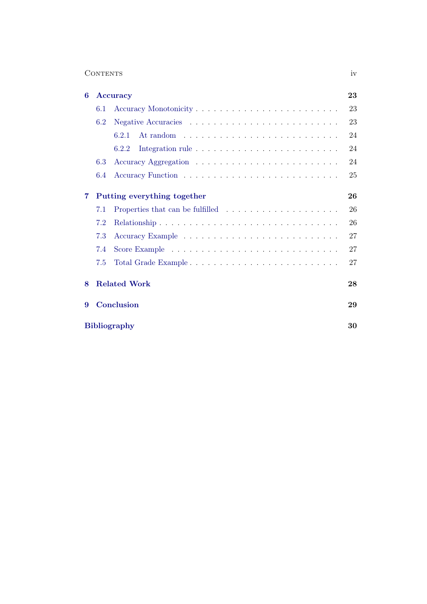| <b>CONTENTS</b> | $\mathbf{U}$ |
|-----------------|--------------|
|-----------------|--------------|

| 6 |                             | Accuracy                                                                     | 23 |  |  |
|---|-----------------------------|------------------------------------------------------------------------------|----|--|--|
|   | 6.1                         |                                                                              | 23 |  |  |
|   | 6.2                         |                                                                              | 23 |  |  |
|   |                             | 6.2.1                                                                        | 24 |  |  |
|   |                             | 6.2.2                                                                        | 24 |  |  |
|   | 6.3                         |                                                                              | 24 |  |  |
|   | 6.4                         |                                                                              | 25 |  |  |
| 7 | Putting everything together |                                                                              |    |  |  |
|   | 7.1                         | Properties that can be fulfilled $\ldots \ldots \ldots \ldots \ldots \ldots$ | 26 |  |  |
|   | 7.2                         |                                                                              | 26 |  |  |
|   | 7.3                         |                                                                              | 27 |  |  |
|   | 7.4                         |                                                                              | 27 |  |  |
|   | 7.5                         |                                                                              | 27 |  |  |
| 8 | <b>Related Work</b>         |                                                                              |    |  |  |
| 9 | Conclusion                  |                                                                              |    |  |  |
|   | <b>Bibliography</b>         |                                                                              |    |  |  |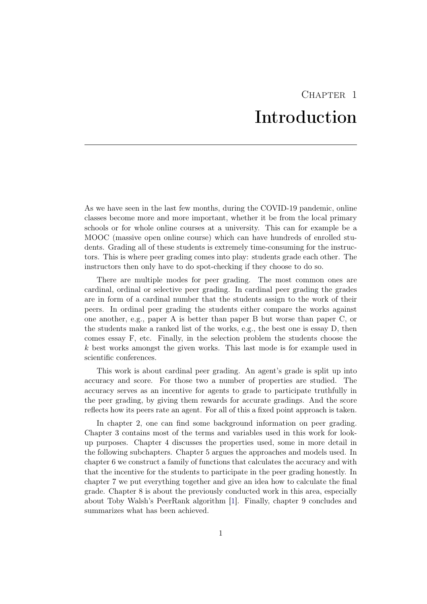# CHAPTER<sub>1</sub> Introduction

<span id="page-5-0"></span>As we have seen in the last few months, during the COVID-19 pandemic, online classes become more and more important, whether it be from the local primary schools or for whole online courses at a university. This can for example be a MOOC (massive open online course) which can have hundreds of enrolled students. Grading all of these students is extremely time-consuming for the instructors. This is where peer grading comes into play: students grade each other. The instructors then only have to do spot-checking if they choose to do so.

There are multiple modes for peer grading. The most common ones are cardinal, ordinal or selective peer grading. In cardinal peer grading the grades are in form of a cardinal number that the students assign to the work of their peers. In ordinal peer grading the students either compare the works against one another, e.g., paper A is better than paper B but worse than paper C, or the students make a ranked list of the works, e.g., the best one is essay D, then comes essay F, etc. Finally, in the selection problem the students choose the k best works amongst the given works. This last mode is for example used in scientific conferences.

This work is about cardinal peer grading. An agent's grade is split up into accuracy and score. For those two a number of properties are studied. The accuracy serves as an incentive for agents to grade to participate truthfully in the peer grading, by giving them rewards for accurate gradings. And the score reflects how its peers rate an agent. For all of this a fixed point approach is taken.

In chapter 2, one can find some background information on peer grading. Chapter 3 contains most of the terms and variables used in this work for lookup purposes. Chapter 4 discusses the properties used, some in more detail in the following subchapters. Chapter 5 argues the approaches and models used. In chapter 6 we construct a family of functions that calculates the accuracy and with that the incentive for the students to participate in the peer grading honestly. In chapter 7 we put everything together and give an idea how to calculate the final grade. Chapter 8 is about the previously conducted work in this area, especially about Toby Walsh's PeerRank algorithm [\[1\]](#page-34-1). Finally, chapter 9 concludes and summarizes what has been achieved.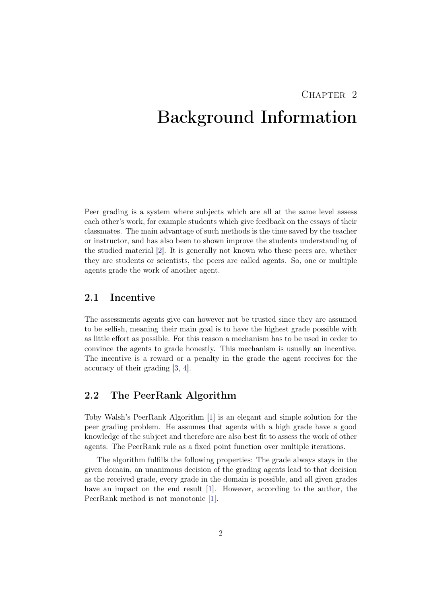## $CHAPTER$  2

# <span id="page-6-0"></span>Background Information

Peer grading is a system where subjects which are all at the same level assess each other's work, for example students which give feedback on the essays of their classmates. The main advantage of such methods is the time saved by the teacher or instructor, and has also been to shown improve the students understanding of the studied material [\[2\]](#page-34-2). It is generally not known who these peers are, whether they are students or scientists, the peers are called agents. So, one or multiple agents grade the work of another agent.

## <span id="page-6-1"></span>2.1 Incentive

The assessments agents give can however not be trusted since they are assumed to be selfish, meaning their main goal is to have the highest grade possible with as little effort as possible. For this reason a mechanism has to be used in order to convince the agents to grade honestly. This mechanism is usually an incentive. The incentive is a reward or a penalty in the grade the agent receives for the accuracy of their grading [\[3,](#page-34-3) [4\]](#page-34-4).

## <span id="page-6-2"></span>2.2 The PeerRank Algorithm

Toby Walsh's PeerRank Algorithm [\[1\]](#page-34-1) is an elegant and simple solution for the peer grading problem. He assumes that agents with a high grade have a good knowledge of the subject and therefore are also best fit to assess the work of other agents. The PeerRank rule as a fixed point function over multiple iterations.

The algorithm fulfills the following properties: The grade always stays in the given domain, an unanimous decision of the grading agents lead to that decision as the received grade, every grade in the domain is possible, and all given grades have an impact on the end result [\[1\]](#page-34-1). However, according to the author, the PeerRank method is not monotonic [\[1\]](#page-34-1).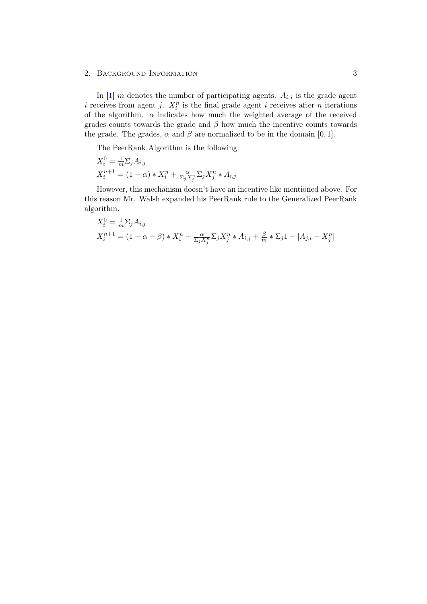#### 2. BACKGROUND INFORMATION 3

In [\[1\]](#page-34-1) m denotes the number of participating agents.  $A_{i,j}$  is the grade agent i receives from agent j.  $X_i^n$  is the final grade agent i receives after n iterations of the algorithm.  $\alpha$  indicates how much the weighted average of the received grades counts towards the grade and  $\beta$  how much the incentive counts towards the grade. The grades,  $\alpha$  and  $\beta$  are normalized to be in the domain [0, 1].

The PeerRank Algorithm is the following:

$$
X_i^0 = \frac{1}{m} \Sigma_j A_{i,j}
$$
  

$$
X_i^{n+1} = (1 - \alpha) * X_i^n + \frac{\alpha}{\Sigma_j X_j^n} \Sigma_j X_j^n * A_{i,j}
$$

However, this mechanism doesn't have an incentive like mentioned above. For this reason Mr. Walsh expanded his PeerRank rule to the Generalized PeerRank algorithm.

$$
X_i^0 = \frac{1}{m} \Sigma_j A_{i,j}
$$
  

$$
X_i^{n+1} = (1 - \alpha - \beta) * X_i^n + \frac{\alpha}{\Sigma_j X_j^n} \Sigma_j X_j^n * A_{i,j} + \frac{\beta}{m} * \Sigma_j 1 - |A_{j,i} - X_j^n|
$$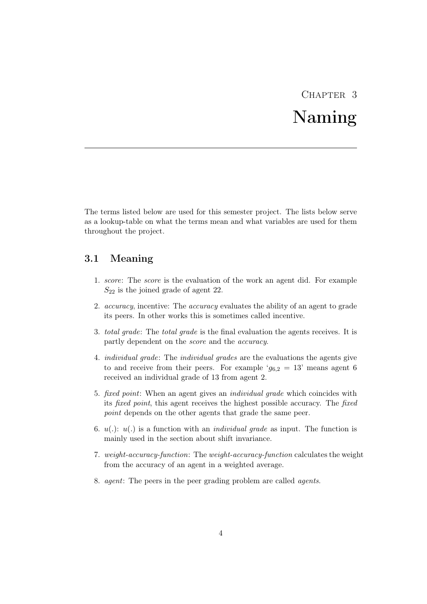# CHAPTER<sub>3</sub> Naming

<span id="page-8-0"></span>The terms listed below are used for this semester project. The lists below serve as a lookup-table on what the terms mean and what variables are used for them throughout the project.

## <span id="page-8-1"></span>3.1 Meaning

- 1. score: The score is the evaluation of the work an agent did. For example  $S_{22}$  is the joined grade of agent 22.
- 2. *accuracy*, incentive: The *accuracy* evaluates the ability of an agent to grade its peers. In other works this is sometimes called incentive.
- 3. total grade: The total grade is the final evaluation the agents receives. It is partly dependent on the score and the accuracy.
- 4. individual grade: The individual grades are the evaluations the agents give to and receive from their peers. For example ' $g_{6,2} = 13$ ' means agent 6 received an individual grade of 13 from agent 2.
- 5. fixed point: When an agent gives an individual grade which coincides with its fixed point, this agent receives the highest possible accuracy. The fixed point depends on the other agents that grade the same peer.
- 6.  $u(.)$ :  $u(.)$  is a function with an *individual grade* as input. The function is mainly used in the section about shift invariance.
- 7. weight-accuracy-function: The weight-accuracy-function calculates the weight from the accuracy of an agent in a weighted average.
- 8. agent: The peers in the peer grading problem are called agents.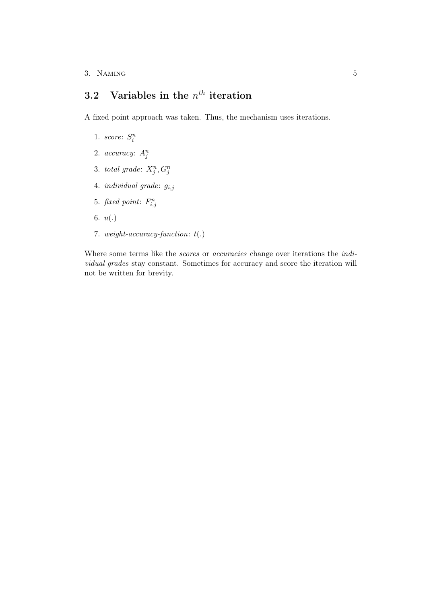## <span id="page-9-0"></span>3.2 Variables in the  $n^{th}$  iteration

A fixed point approach was taken. Thus, the mechanism uses iterations.

- 1. score:  $S_i^n$
- 2.  $accuracy: A_j^n$
- 3. total grade:  $X_j^n, G_j^n$
- 4. *individual grade*:  $g_{i,j}$
- 5. fixed point:  $F_{i,j}^n$
- 6. u(.)
- 7. weight-accuracy-function:  $t(.)$

Where some terms like the scores or accuracies change over iterations the individual grades stay constant. Sometimes for accuracy and score the iteration will not be written for brevity.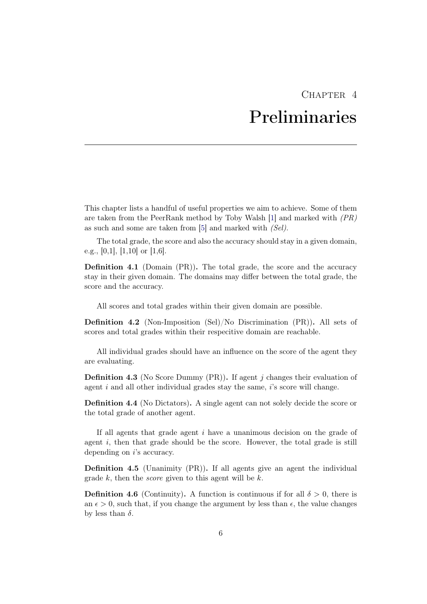# $CHAPTER$  4 Preliminaries

<span id="page-10-0"></span>This chapter lists a handful of useful properties we aim to achieve. Some of them are taken from the PeerRank method by Toby Walsh  $[1]$  and marked with  $(PR)$ as such and some are taken from [\[5\]](#page-34-5) and marked with (Sel).

The total grade, the score and also the accuracy should stay in a given domain, e.g., [0,1], [1,10] or [1,6].

Definition 4.1 (Domain (PR)). The total grade, the score and the accuracy stay in their given domain. The domains may differ between the total grade, the score and the accuracy.

All scores and total grades within their given domain are possible.

Definition 4.2 (Non-Imposition (Sel)/No Discrimination (PR)). All sets of scores and total grades within their respecitive domain are reachable.

All individual grades should have an influence on the score of the agent they are evaluating.

**Definition 4.3** (No Score Dummy  $(PR)$ ). If agent j changes their evaluation of agent i and all other individual grades stay the same, i's score will change.

Definition 4.4 (No Dictators). A single agent can not solely decide the score or the total grade of another agent.

If all agents that grade agent  $i$  have a unanimous decision on the grade of agent  $i$ , then that grade should be the score. However, the total grade is still depending on *i*'s accuracy.

Definition 4.5 (Unanimity (PR)). If all agents give an agent the individual grade  $k$ , then the *score* given to this agent will be  $k$ .

**Definition 4.6** (Continuity). A function is continuous if for all  $\delta > 0$ , there is an  $\epsilon > 0$ , such that, if you change the argument by less than  $\epsilon$ , the value changes by less than  $\delta$ .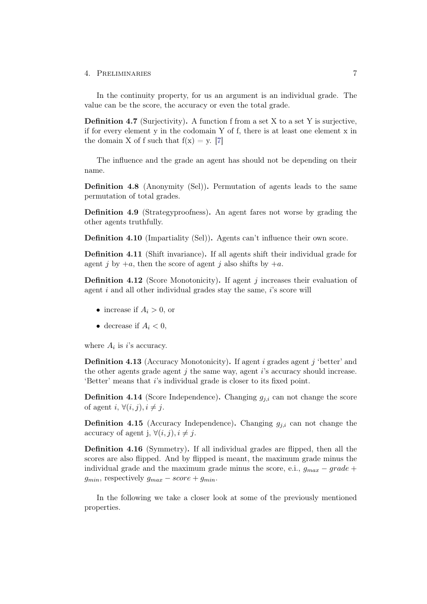In the continuity property, for us an argument is an individual grade. The value can be the score, the accuracy or even the total grade.

**Definition 4.7** (Surjectivity). A function f from a set X to a set Y is surjective, if for every element y in the codomain Y of f, there is at least one element x in the domain X of f such that  $f(x) = y$ . [\[7\]](#page-34-6)

The influence and the grade an agent has should not be depending on their name.

Definition 4.8 (Anonymity (Sel)). Permutation of agents leads to the same permutation of total grades.

Definition 4.9 (Strategyproofness). An agent fares not worse by grading the other agents truthfully.

Definition 4.10 (Impartiality (Sel)). Agents can't influence their own score.

Definition 4.11 (Shift invariance). If all agents shift their individual grade for agent j by  $+a$ , then the score of agent j also shifts by  $+a$ .

**Definition 4.12** (Score Monotonicity). If agent  $j$  increases their evaluation of agent  $i$  and all other individual grades stay the same,  $i$ 's score will

- increase if  $A_i > 0$ , or
- decrease if  $A_i < 0$ ,

where  $A_i$  is *i*'s accuracy.

Definition 4.13 (Accuracy Monotonicity). If agent i grades agent j 'better' and the other agents grade agent  $j$  the same way, agent  $i$ 's accuracy should increase. 'Better' means that i's individual grade is closer to its fixed point.

**Definition 4.14** (Score Independence). Changing  $g_{i,i}$  can not change the score of agent i,  $\forall (i, j), i \neq j$ .

**Definition 4.15** (Accuracy Independence). Changing  $g_{j,i}$  can not change the accuracy of agent j,  $\forall (i, j), i \neq j$ .

Definition 4.16 (Symmetry). If all individual grades are flipped, then all the scores are also flipped. And by flipped is meant, the maximum grade minus the individual grade and the maximum grade minus the score, e.i.,  $g_{max} - grade +$  $g_{min}$ , respectively  $g_{max} - score + g_{min}$ .

In the following we take a closer look at some of the previously mentioned properties.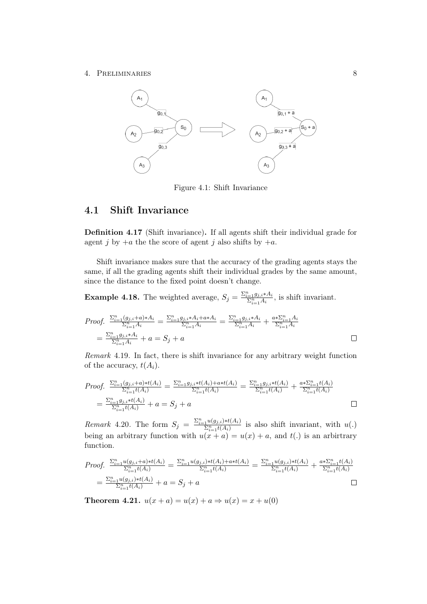#### 4. Preliminaries 8



Figure 4.1: Shift Invariance

## <span id="page-12-0"></span>4.1 Shift Invariance

Definition 4.17 (Shift invariance). If all agents shift their individual grade for agent j by  $+a$  the score of agent j also shifts by  $+a$ .

Shift invariance makes sure that the accuracy of the grading agents stays the same, if all the grading agents shift their individual grades by the same amount, since the distance to the fixed point doesn't change.

**Example 4.18.** The weighted average,  $S_j = \frac{\sum_{i=1}^n g_{j,i} * A_i}{\sum_{i=1}^n A_i}$ , is shift invariant.

Proof. 
$$
\frac{\sum_{i=1}^{n} (g_{j,i} + a) * A_i}{\sum_{i=1}^{n} A_i} = \frac{\sum_{i=1}^{n} g_{j,i} * A_i + a * A_i}{\sum_{i=1}^{n} A_i} = \frac{\sum_{i=1}^{n} g_{j,i} * A_i}{\sum_{i=1}^{n} A_i} + \frac{a * \sum_{i=1}^{n} A_i}{\sum_{i=1}^{n} A_i}
$$

$$
= \frac{\sum_{i=1}^{n} g_{j,i} * A_i}{\sum_{i=1}^{n} A_i} + a = S_j + a
$$

Remark 4.19. In fact, there is shift invariance for any arbitrary weight function of the accuracy,  $t(A_i)$ .

Proof. 
$$
\frac{\sum_{i=1}^{n} (g_{j,i} + a) * t(A_i)}{\sum_{i=1}^{n} t(A_i)} = \frac{\sum_{i=1}^{n} g_{j,i} * t(A_i) + a * t(A_i)}{\sum_{i=1}^{n} t(A_i)} = \frac{\sum_{i=1}^{n} g_{j,i} * t(A_i)}{\sum_{i=1}^{n} t(A_i)} + \frac{a * \sum_{i=1}^{n} t(A_i)}{\sum_{i=1}^{n} t(A_i)}
$$
  
= 
$$
\frac{\sum_{i=1}^{n} g_{j,i} * t(A_i)}{\sum_{i=1}^{n} t(A_i)} + a = S_j + a
$$

*Remark* 4.20. The form  $S_j = \frac{\sum_{i=1}^n u(g_{j,i}) * t(A_i)}{\sum_{i=1}^n t(A_i)}$  is also shift invariant, with  $u(.)$ being an arbitrary function with  $u(x + a) = u(x) + a$ , and  $t(.)$  is an arbitrary function.

Proof. 
$$
\frac{\sum_{i=1}^{n} u(g_{j,i} + a) * t(A_i)}{\sum_{i=1}^{n} t(A_i)} = \frac{\sum_{i=1}^{n} u(g_{j,i}) * t(A_i) + a * t(A_i)}{\sum_{i=1}^{n} t(A_i)} = \frac{\sum_{i=1}^{n} u(g_{j,i}) * t(A_i)}{\sum_{i=1}^{n} t(A_i)} + \frac{a * \sum_{i=1}^{n} t(A_i)}{\sum_{i=1}^{n} t(A_i)}
$$

$$
= \frac{\sum_{i=1}^{n} u(g_{j,i}) * t(A_i)}{\sum_{i=1}^{n} t(A_i)} + a = S_j + a
$$

<span id="page-12-1"></span>**Theorem 4.21.**  $u(x + a) = u(x) + a \Rightarrow u(x) = x + u(0)$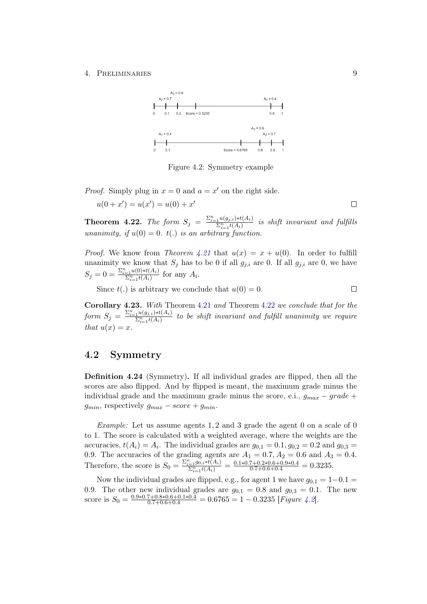

<span id="page-13-2"></span>Figure 4.2: Symmetry example

*Proof.* Simply plug in  $x = 0$  and  $a = x'$  on the right side.

$$
u(0 + x') = u(x') = u(0) + x'
$$

<span id="page-13-1"></span>**Theorem 4.22.** The form  $S_j = \frac{\sum_{i=1}^n u(g_{j,i}) * t(A_i)}{\sum_{i=1}^n t(A_i)}$  is shift invariant and fulfills unanimity, if  $u(0) = 0$ .  $t(.)$  is an arbitrary function.

*Proof.* We know from Theorem [4.21](#page-12-1) that  $u(x) = x + u(0)$ . In order to fulfill unanimity we know that  $S_j$  has to be 0 if all  $g_{j,i}$  are 0. If all  $g_{j,i}$  are 0, we have  $S_j = 0 = \frac{\sum_{i=1}^{n} u(0) * t(A_i)}{\sum_{i=1}^{n} t(A_i)}$  for any  $A_i$ .

Since  $t(.)$  is arbitrary we conclude that  $u(0) = 0$ .

 $\Box$ 

Corollary 4.23. With Theorem [4.21](#page-12-1) and Theorem [4.22](#page-13-1) we conclude that for the form  $S_j = \frac{\sum_{i=1}^n u(g_{j,i}) * t(A_i)}{\sum_{i=1}^n t(A_i)}$  to be shift invariant and fulfill unanimity we require that  $u(x) = x$ .

## <span id="page-13-0"></span>4.2 Symmetry

Definition 4.24 (Symmetry). If all individual grades are flipped, then all the scores are also flipped. And by flipped is meant, the maximum grade minus the individual grade and the maximum grade minus the score, e.i.,  $g_{max} - grade +$  $g_{min}$ , respectively  $g_{max} - score + g_{min}$ .

*Example:* Let us assume agents 1, 2 and 3 grade the agent 0 on a scale of 0 to 1. The score is calculated with a weighted average, where the weights are the accuracies,  $t(A_i) = A_i$ . The individual grades are  $g_{0,1} = 0.1, g_{0,2} = 0.2$  and  $g_{0,3} =$ 0.9. The accuracies of the grading agents are  $A_1 = 0.7, A_2 = 0.6$  and  $A_3 = 0.4$ . Therefore, the score is  $S_0 = \frac{\sum_{i=1}^n g_{0,i} * t(A_i)}{\sum_{i=1}^n t(A_i)} = \frac{0.1 * 0.7 + 0.2 * 0.6 + 0.9 * 0.4}{0.7 + 0.6 + 0.4} = 0.3235.$ 

Now the individual grades are flipped, e.g., for agent 1 we have  $g_{0,1} = 1-0.1 =$ 0.9. The other new individual grades are  $g_{0,1} = 0.8$  and  $g_{0,3} = 0.1$ . The new score is  $S_0 = \frac{0.9 * 0.7 + 0.8 * 0.6 + 0.1 * 0.4}{0.7 + 0.6 + 0.4} = 0.6765 = 1 - 0.3235$  [*Figure [4.2](#page-13-2)*].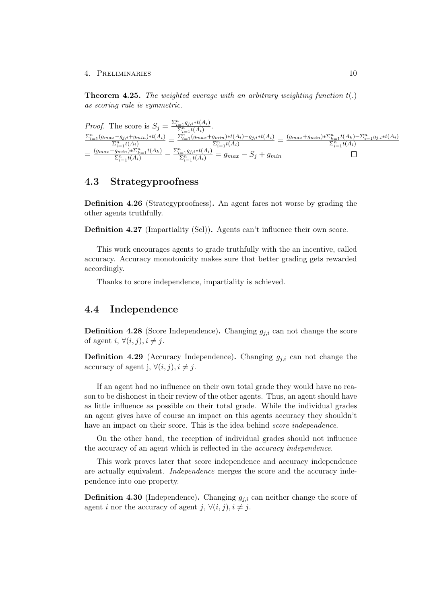**Theorem 4.25.** The weighted average with an arbitrary weighting function  $t(.)$ as scoring rule is symmetric.

*Proof.* The score is  $S_j = \frac{\sum_{i=1}^n g_{j,i} * t(A_i)}{\sum_{i=1}^n t(A_i)}$ .  $\frac{\sum_{i=1}^{n}(g_{max}-g_{j,i}+g_{min})*t(A_i)}{\sum_{i=1}^{n}t(A_i)}=\frac{\sum_{i=1}^{n}(g_{max}+g_{min})*t(A_i)-g_{j,i}*t(A_i)}{\sum_{i=1}^{n}t(A_i)}=\frac{(g_{max}+g_{min})*\sum_{k=1}^{n}t(A_k)-\sum_{i=1}^{n}g_{j,i}*t(A_i)}{\sum_{i=1}^{n}t(A_i)}$  $=\frac{(g_{max}+g_{min}^{m})*\sum_{k=1}^{n}t(A_k)}{\sum_{i=1}^{n}t(A_i)}-\frac{\sum_{i=1}^{n}g_{j,i}*t(A_i)}{\sum_{i=1}^{n}t(A_i)}=g_{max}-S_j+g_{min}$ 

### <span id="page-14-0"></span>4.3 Strategyproofness

Definition 4.26 (Strategyproofness). An agent fares not worse by grading the other agents truthfully.

Definition 4.27 (Impartiality (Sel)). Agents can't influence their own score.

This work encourages agents to grade truthfully with the an incentive, called accuracy. Accuracy monotonicity makes sure that better grading gets rewarded accordingly.

Thanks to score independence, impartiality is achieved.

## <span id="page-14-1"></span>4.4 Independence

**Definition 4.28** (Score Independence). Changing  $g_{j,i}$  can not change the score of agent i,  $\forall (i, j), i \neq j$ .

**Definition 4.29** (Accuracy Independence). Changing  $g_{j,i}$  can not change the accuracy of agent j,  $\forall (i, j), i \neq j$ .

If an agent had no influence on their own total grade they would have no reason to be dishonest in their review of the other agents. Thus, an agent should have as little influence as possible on their total grade. While the individual grades an agent gives have of course an impact on this agents accuracy they shouldn't have an impact on their score. This is the idea behind *score independence*.

On the other hand, the reception of individual grades should not influence the accuracy of an agent which is reflected in the accuracy independence.

This work proves later that score independence and accuracy independence are actually equivalent. Independence merges the score and the accuracy independence into one property.

**Definition 4.30** (Independence). Changing  $g_{j,i}$  can neither change the score of agent *i* nor the accuracy of agent  $j, \forall (i, j), i \neq j$ .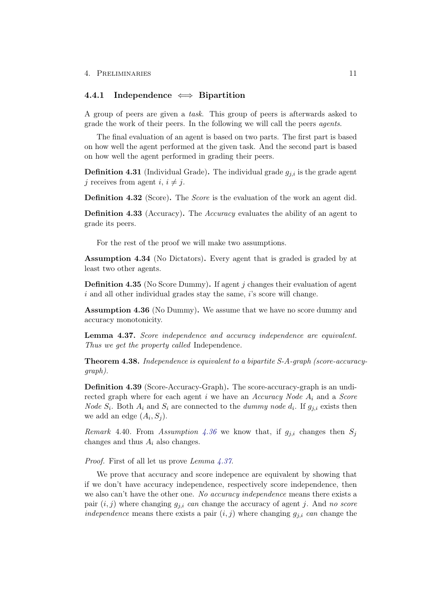### <span id="page-15-0"></span>4.4.1 Independence  $\iff$  Bipartition

A group of peers are given a task. This group of peers is afterwards asked to grade the work of their peers. In the following we will call the peers agents.

The final evaluation of an agent is based on two parts. The first part is based on how well the agent performed at the given task. And the second part is based on how well the agent performed in grading their peers.

**Definition 4.31** (Individual Grade). The individual grade  $g_{i,i}$  is the grade agent j receives from agent  $i, i \neq j$ .

Definition 4.32 (Score). The *Score* is the evaluation of the work an agent did.

Definition 4.33 (Accuracy). The Accuracy evaluates the ability of an agent to grade its peers.

For the rest of the proof we will make two assumptions.

Assumption 4.34 (No Dictators). Every agent that is graded is graded by at least two other agents.

Definition 4.35 (No Score Dummy). If agent j changes their evaluation of agent  $i$  and all other individual grades stay the same,  $i$ 's score will change.

<span id="page-15-1"></span>Assumption 4.36 (No Dummy). We assume that we have no score dummy and accuracy monotonicity.

<span id="page-15-2"></span>Lemma 4.37. Score independence and accuracy independence are equivalent. Thus we get the property called Independence.

<span id="page-15-3"></span>Theorem 4.38. Independence is equivalent to a bipartite S-A-graph (score-accuracygraph).

Definition 4.39 (Score-Accuracy-Graph). The score-accuracy-graph is an undirected graph where for each agent i we have an Accuracy Node  $A_i$  and a Score *Node*  $S_i$ . Both  $A_i$  and  $S_i$  are connected to the *dummy node*  $d_i$ . If  $g_{j,i}$  exists then we add an edge  $(A_i, S_j)$ .

*Remark* 4.40. From Assumption [4.36](#page-15-1) we know that, if  $g_{j,i}$  changes then  $S_j$ changes and thus  $A_i$  also changes.

Proof. First of all let us prove Lemma  $\angle 4.37$  $\angle 4.37$ .

We prove that accuracy and score indepence are equivalent by showing that if we don't have accuracy independence, respectively score independence, then we also can't have the other one. No accuracy independence means there exists a pair  $(i, j)$  where changing  $g_{j,i}$  can change the accuracy of agent j. And no score independence means there exists a pair  $(i, j)$  where changing  $g_{j,i}$  can change the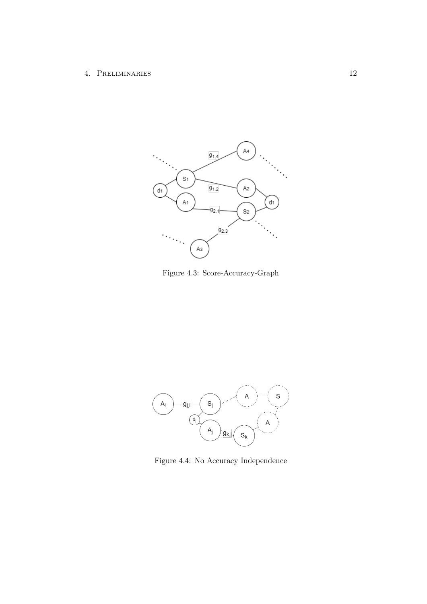

Figure 4.3: Score-Accuracy-Graph



Figure 4.4: No Accuracy Independence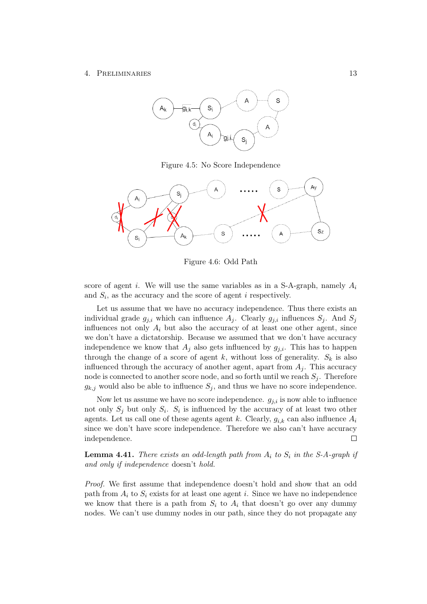

Figure 4.5: No Score Independence



Figure 4.6: Odd Path

score of agent i. We will use the same variables as in a S-A-graph, namely  $A_i$ and  $S_i$ , as the accuracy and the score of agent i respectively.

Let us assume that we have no accuracy independence. Thus there exists an individual grade  $g_{j,i}$  which can influence  $A_j$ . Clearly  $g_{j,i}$  influences  $S_j$ . And  $S_j$ influences not only  $A_i$  but also the accuracy of at least one other agent, since we don't have a dictatorship. Because we assumed that we don't have accuracy independence we know that  $A_i$  also gets influenced by  $g_{i,i}$ . This has to happen through the change of a score of agent k, without loss of generality.  $S_k$  is also influenced through the accuracy of another agent, apart from  $A_j$ . This accuracy node is connected to another score node, and so forth until we reach  $S_i$ . Therefore  $g_{k,j}$  would also be able to influence  $S_j$ , and thus we have no score independence.

Now let us assume we have no score independence.  $g_{j,i}$  is now able to influence not only  $S_j$  but only  $S_i$ .  $S_i$  is influenced by the accuracy of at least two other agents. Let us call one of these agents agent k. Clearly,  $g_{i,k}$  can also influence  $A_i$ since we don't have score independence. Therefore we also can't have accuracy independence.  $\Box$ 

<span id="page-17-0"></span>**Lemma 4.41.** There exists an odd-length path from  $A_i$  to  $S_i$  in the S-A-graph if and only if independence doesn't hold.

Proof. We first assume that independence doesn't hold and show that an odd path from  $A_i$  to  $S_i$  exists for at least one agent i. Since we have no independence we know that there is a path from  $S_i$  to  $A_i$  that doesn't go over any dummy nodes. We can't use dummy nodes in our path, since they do not propagate any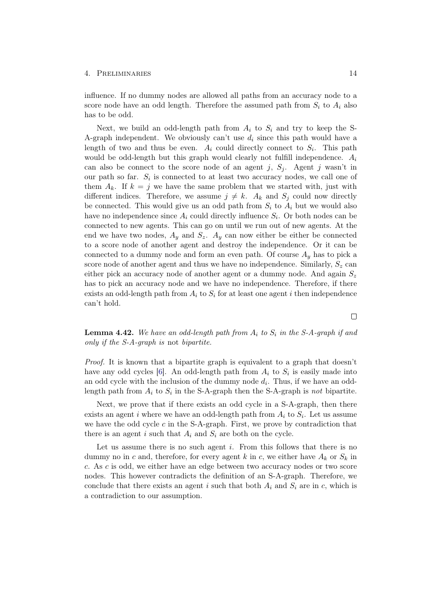influence. If no dummy nodes are allowed all paths from an accuracy node to a score node have an odd length. Therefore the assumed path from  $S_i$  to  $A_i$  also has to be odd.

Next, we build an odd-length path from  $A_i$  to  $S_i$  and try to keep the S-A-graph independent. We obviously can't use  $d_i$  since this path would have a length of two and thus be even.  $A_i$  could directly connect to  $S_i$ . This path would be odd-length but this graph would clearly not fulfill independence.  $A_i$ can also be connect to the score node of an agent j,  $S_j$ . Agent j wasn't in our path so far.  $S_i$  is connected to at least two accuracy nodes, we call one of them  $A_k$ . If  $k = j$  we have the same problem that we started with, just with different indices. Therefore, we assume  $j \neq k$ .  $A_k$  and  $S_j$  could now directly be connected. This would give us an odd path from  $S_i$  to  $A_i$  but we would also have no independence since  $A_i$  could directly influence  $S_i$ . Or both nodes can be connected to new agents. This can go on until we run out of new agents. At the end we have two nodes,  $A_y$  and  $S_z$ .  $A_y$  can now either be either be connected to a score node of another agent and destroy the independence. Or it can be connected to a dummy node and form an even path. Of course  $A_y$  has to pick a score node of another agent and thus we have no independence. Similarly,  $S_z$  can either pick an accuracy node of another agent or a dummy node. And again  $S_z$ has to pick an accuracy node and we have no independence. Therefore, if there exists an odd-length path from  $A_i$  to  $S_i$  for at least one agent i then independence can't hold.

<span id="page-18-0"></span>**Lemma 4.42.** We have an odd-length path from  $A_i$  to  $S_i$  in the S-A-graph if and only if the S-A-graph is not bipartite.

Proof. It is known that a bipartite graph is equivalent to a graph that doesn't have any odd cycles [\[6\]](#page-34-7). An odd-length path from  $A_i$  to  $S_i$  is easily made into an odd cycle with the inclusion of the dummy node  $d_i$ . Thus, if we have an oddlength path from  $A_i$  to  $S_i$  in the S-A-graph then the S-A-graph is not bipartite.

Next, we prove that if there exists an odd cycle in a S-A-graph, then there exists an agent i where we have an odd-length path from  $A_i$  to  $S_i$ . Let us assume we have the odd cycle  $c$  in the S-A-graph. First, we prove by contradiction that there is an agent i such that  $A_i$  and  $S_i$  are both on the cycle.

Let us assume there is no such agent  $i$ . From this follows that there is no dummy no in c and, therefore, for every agent k in c, we either have  $A_k$  or  $S_k$  in c. As c is odd, we either have an edge between two accuracy nodes or two score nodes. This however contradicts the definition of an S-A-graph. Therefore, we conclude that there exists an agent i such that both  $A_i$  and  $S_i$  are in c, which is a contradiction to our assumption.

 $\Box$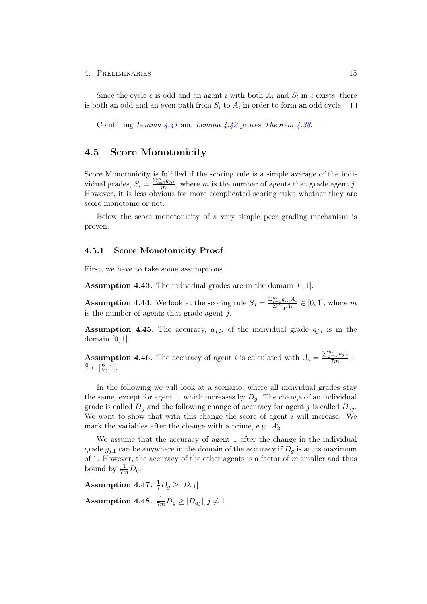Since the cycle c is odd and an agent i with both  $A_i$  and  $S_i$  in c exists, there is both an odd and an even path from  $S_i$  to  $A_i$  in order to form an odd cycle.

Combining Lemma [4.41](#page-17-0) and Lemma [4.42](#page-18-0) proves Theorem [4.38](#page-15-3).

## <span id="page-19-0"></span>4.5 Score Monotonicity

Score Monotonicity is fulfilled if the scoring rule is a simple average of the individual grades,  $S_i = \frac{\sum_{i=1}^{m} g_{j,i}}{m}$ , where m is the number of agents that grade agent j. However, it is less obvious for more complicated scoring rules whether they are score monotonic or not.

Below the score monotonicity of a very simple peer grading mechanism is proven.

#### <span id="page-19-1"></span>4.5.1 Score Monotonicity Proof

First, we have to take some assumptions.

Assumption 4.43. The individual grades are in the domain [0, 1].

**Assumption 4.44.** We look at the scoring rule  $S_j = \frac{\sum_{i=1}^m g_{j,i} A_i}{\sum_{i=1}^m A_i} \in [0,1]$ , where m is the number of agents that grade agent  $j$ .

Assumption 4.45. The accuracy,  $a_{j,i}$ , of the individual grade  $g_{j,i}$  is in the domain  $[0, 1]$ .

**Assumption 4.46.** The accuracy of agent i is calculated with  $A_i = \frac{\sum_{j=1}^{m} a_{j,i}}{7m}$  + 6  $\frac{6}{7} \in [\frac{6}{7}]$  $\frac{6}{7}, 1].$ 

In the following we will look at a scenario, where all individual grades stay the same, except for agent 1, which increases by  $D_q$ . The change of an individual grade is called  $D_q$  and the following change of accuracy for agent j is called  $D_{qj}$ . We want to show that with this change the score of agent  $i$  will increase. We mark the variables after the change with a prime, e.g.  $A'_3$ .

We assume that the accuracy of agent 1 after the change in the individual grade  $g_{j,1}$  can be anywhere in the domain of the accuracy if  $D_g$  is at its maximum of 1. However, the accuracy of the other agents is a factor of  $m$  smaller and thus bound by  $\frac{1}{7m}D_g$ .

Assumption 4.47.  $\frac{1}{7}D_g \geq |D_{a1}|$ 

Assumption 4.48.  $\frac{1}{7m}D_g \geq |D_{aj}|, j \neq 1$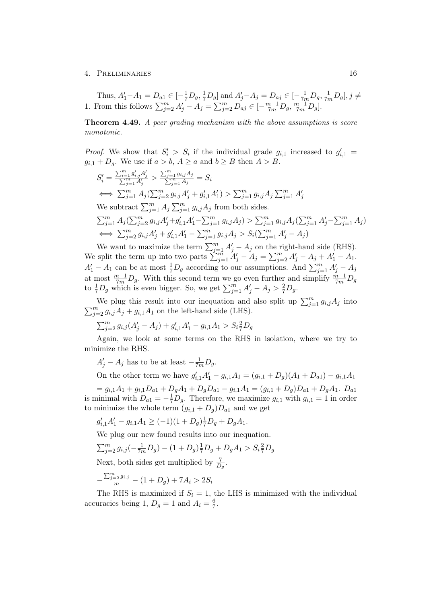Thus,  $A'_1 - A_1 = D_{a1} \in \left[ -\frac{1}{7}D_g, \frac{1}{7}D_g \right]$  and  $A'_j - A_j = D_{aj} \in \left[ -\frac{1}{7m}D_g, \frac{1}{7m}D_g \right], j \neq j$ 1. From this follows  $\sum_{j=2}^{m} A'_j - A_j = \sum_{j=2}^{m} D_{aj} \in [-\frac{m-1}{7m}D_g, \frac{m-1}{7m}D_g]$ .

**Theorem 4.49.** A peer grading mechanism with the above assumptions is score monotonic.

*Proof.* We show that  $S_i' > S_i$  if the individual grade  $g_{i,1}$  increased to  $g'_{i,1}$  $g_{i,1} + D_a$ . We use if  $a > b$ ,  $A \ge a$  and  $b \ge B$  then  $A > B$ .

$$
S'_{i} = \frac{\sum_{i=1}^{m} g'_{i,j} A'_{j}}{\sum_{j=1}^{m} A_{j}} > \frac{\sum_{j=1}^{m} g_{i,j} A_{j}}{\sum_{j=1}^{m} A_{j}} = S_{i}
$$
  
\n
$$
\iff \sum_{j=1}^{m} A_{j} (\sum_{j=2}^{m} g_{i,j} A'_{j} + g'_{i,1} A'_{1}) > \sum_{j=1}^{m} g_{i,j} A_{j} \sum_{j=1}^{m} A'_{j}
$$
  
\nWe subtract  $\sum_{j=1}^{m} A_{j} \sum_{j=1}^{m} g_{i,j} A_{j}$  from both sides.  
\n
$$
\sum_{j=1}^{m} A_{j} (\sum_{j=2}^{m} g_{i,j} A'_{j} + g'_{i,1} A'_{1} - \sum_{j=1}^{m} g_{i,j} A_{j}) > \sum_{j=1}^{m} g_{i,j} A_{j} (\sum_{j=1}^{m} A'_{j} - \sum_{j=1}^{m} A_{j})
$$
  
\n
$$
\iff \sum_{j=2}^{m} g_{i,j} A'_{j} + g'_{i,1} A'_{1} - \sum_{j=1}^{m} g_{i,j} A_{j} > S_{i} (\sum_{j=1}^{m} A'_{j} - A_{j})
$$

We want to maximize the term  $\sum_{j=1}^{m} A'_j - A_j$  on the right-hand side (RHS). We split the term up into two parts  $\sum_{j=1}^{m} A'_j - A_j = \sum_{j=2}^{m} A'_j - A_j + A'_1 - A_1$ .  $A'_1 - A_1$  can be at most  $\frac{1}{7}D_g$  according to our assumptions. And  $\sum_{j=1}^m A'_j - A_j$ at most  $\frac{m-1}{7m}D_g$ . With this second term we go even further and simplify  $\frac{m-1}{7m}D_g$ to  $\frac{1}{7}D_g$  which is even bigger. So, we get  $\sum_{j=1}^{m} A'_j - A_j > \frac{2}{7}D_g$ .

We plug this result into our inequation and also split up  $\sum_{j=1}^{m} g_{i,j} A_j$  into  $\sum_{j=2}^{m} g_{i,j} A_j + g_{i,1} A_1$  on the left-hand side (LHS).

 $\sum_{j=2}^{m} g_{i,j} (A'_j - A_j) + g'_{i,1} A'_1 - g_{i,1} A_1 > S_i \frac{2}{7} D_g$ 

Again, we look at some terms on the RHS in isolation, where we try to minimize the RHS.

 $A'_{j} - A_{j}$  has to be at least  $-\frac{1}{7m}D_{g}$ .

On the other term we have  $g'_{i,1}A'_{1} - g_{i,1}A_{1} = (g_{i,1} + D_g)(A_{1} + D_{a1}) - g_{i,1}A_{1}$ 

 $= g_{i,1}A_1 + g_{i,1}D_{a1} + D_gA_1 + D_gD_{a1} - g_{i,1}A_1 = (g_{i,1} + D_g)D_{a1} + D_gA_1$ . is minimal with  $D_{a1} = -\frac{1}{7}D_g$ . Therefore, we maximize  $g_{i,1}$  with  $g_{i,1} = 1$  in order to minimize the whole term  $(g_{i,1} + D_g)D_{a1}$  and we get

$$
g'_{i,1}A'_1 - g_{i,1}A_1 \ge (-1)(1+D_g)\frac{1}{7}D_g + D_gA_1.
$$

We plug our new found results into our inequation.

$$
\sum_{j=2}^{m} g_{i,j}(-\frac{1}{7m}D_g) - (1+D_g)\frac{1}{7}D_g + D_gA_1 > S_i\frac{2}{7}D_g
$$

Next, both sides get multiplied by  $\frac{7}{D_g}$ .

$$
-\frac{\sum_{j=2}^{m} g_{i,j}}{m} - (1 + D_g) + 7A_i > 2S_i
$$

The RHS is maximized if  $S_i = 1$ , the LHS is minimized with the individual accuracies being 1,  $D_g = 1$  and  $A_i = \frac{6}{7}$  $\frac{6}{7}$ .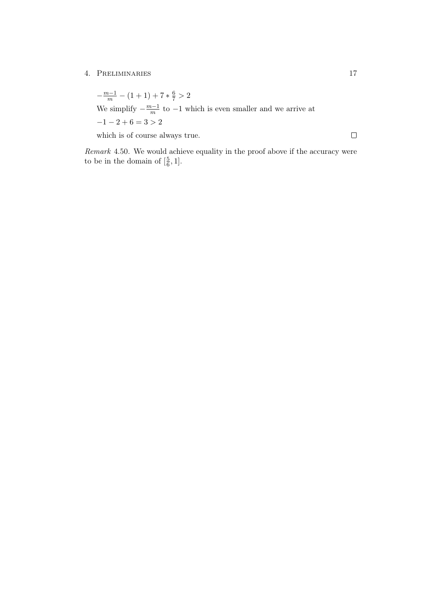$-\frac{m-1}{m} - (1+1) + 7 * \frac{6}{7} > 2$ We simplify  $-\frac{m-1}{m}$  $\frac{n-1}{m}$  to  $-1$  which is even smaller and we arrive at  $-1 - 2 + 6 = 3 > 2$ which is of course always true.

Remark 4.50. We would achieve equality in the proof above if the accuracy were to be in the domain of  $\left[\frac{5}{6}\right]$  $\frac{5}{6}, 1].$ 

 $\Box$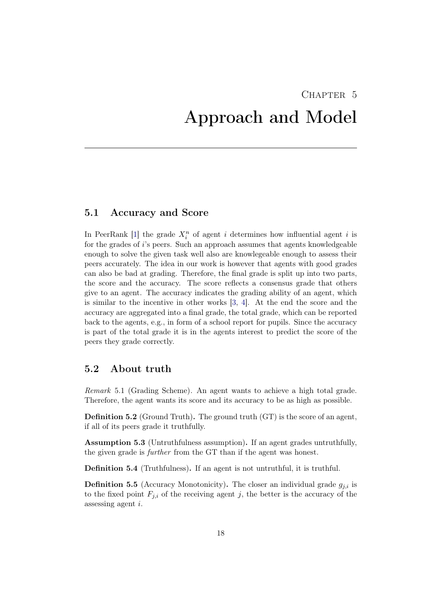# <span id="page-22-0"></span>CHAPTER<sub>5</sub> Approach and Model

### <span id="page-22-1"></span>5.1 Accuracy and Score

In PeerRank [\[1\]](#page-34-1) the grade  $X_i^n$  of agent i determines how influential agent i is for the grades of i's peers. Such an approach assumes that agents knowledgeable enough to solve the given task well also are knowlegeable enough to assess their peers accurately. The idea in our work is however that agents with good grades can also be bad at grading. Therefore, the final grade is split up into two parts, the score and the accuracy. The score reflects a consensus grade that others give to an agent. The accuracy indicates the grading ability of an agent, which is similar to the incentive in other works [\[3,](#page-34-3) [4\]](#page-34-4). At the end the score and the accuracy are aggregated into a final grade, the total grade, which can be reported back to the agents, e.g., in form of a school report for pupils. Since the accuracy is part of the total grade it is in the agents interest to predict the score of the peers they grade correctly.

## <span id="page-22-2"></span>5.2 About truth

Remark 5.1 (Grading Scheme). An agent wants to achieve a high total grade. Therefore, the agent wants its score and its accuracy to be as high as possible.

Definition 5.2 (Ground Truth). The ground truth (GT) is the score of an agent, if all of its peers grade it truthfully.

Assumption 5.3 (Untruthfulness assumption). If an agent grades untruthfully, the given grade is further from the GT than if the agent was honest.

Definition 5.4 (Truthfulness). If an agent is not untruthful, it is truthful.

**Definition 5.5** (Accuracy Monotonicity). The closer an individual grade  $g_{j,i}$  is to the fixed point  $F_{j,i}$  of the receiving agent j, the better is the accuracy of the assessing agent i.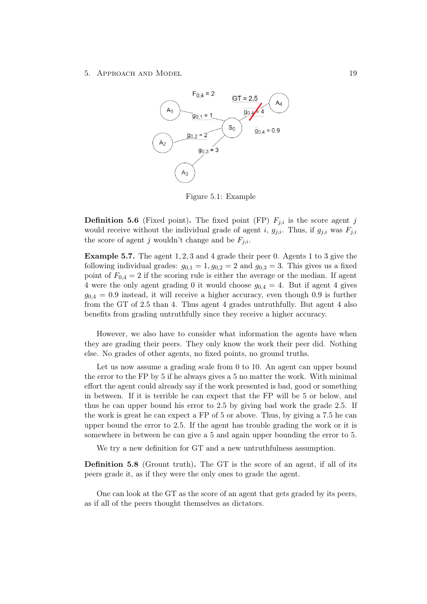#### 5. APPROACH AND MODEL 19



Figure 5.1: Example

**Definition 5.6** (Fixed point). The fixed point (FP)  $F_{j,i}$  is the score agent j would receive without the individual grade of agent i,  $g_{j,i}$ . Thus, if  $g_{j,i}$  was  $F_{j,i}$ the score of agent j wouldn't change and be  $F_{i,i}$ .

Example 5.7. The agent 1, 2, 3 and 4 grade their peer 0. Agents 1 to 3 give the following individual grades:  $g_{0,1} = 1, g_{0,2} = 2$  and  $g_{0,3} = 3$ . This gives us a fixed point of  $F_{0,4} = 2$  if the scoring rule is either the average or the median. If agent 4 were the only agent grading 0 it would choose  $g_{0,4} = 4$ . But if agent 4 gives  $g_{0,4} = 0.9$  instead, it will receive a higher accuracy, even though 0.9 is further from the GT of 2.5 than 4. Thus agent 4 grades untruthfully. But agent 4 also benefits from grading untruthfully since they receive a higher accuracy.

However, we also have to consider what information the agents have when they are grading their peers. They only know the work their peer did. Nothing else. No grades of other agents, no fixed points, no ground truths.

Let us now assume a grading scale from 0 to 10. An agent can upper bound the error to the FP by 5 if he always gives a 5 no matter the work. With minimal effort the agent could already say if the work presented is bad, good or something in between. If it is terrible he can expect that the FP will be 5 or below, and thus he can upper bound his error to 2.5 by giving bad work the grade 2.5. If the work is great he can expect a FP of 5 or above. Thus, by giving a 7.5 he can upper bound the error to 2.5. If the agent has trouble grading the work or it is somewhere in between he can give a 5 and again upper bounding the error to 5.

We try a new definition for GT and a new untruthfulness assumption.

Definition 5.8 (Grount truth). The GT is the score of an agent, if all of its peers grade it, as if they were the only ones to grade the agent.

One can look at the GT as the score of an agent that gets graded by its peers, as if all of the peers thought themselves as dictators.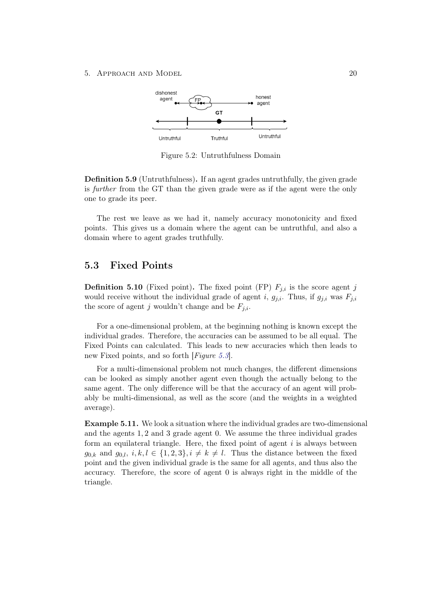#### 5. APPROACH AND MODEL 20



Figure 5.2: Untruthfulness Domain

Definition 5.9 (Untruthfulness). If an agent grades untruthfully, the given grade is further from the GT than the given grade were as if the agent were the only one to grade its peer.

The rest we leave as we had it, namely accuracy monotonicity and fixed points. This gives us a domain where the agent can be untruthful, and also a domain where to agent grades truthfully.

## <span id="page-24-0"></span>5.3 Fixed Points

**Definition 5.10** (Fixed point). The fixed point (FP)  $F_{j,i}$  is the score agent j would receive without the individual grade of agent i,  $g_{j,i}$ . Thus, if  $g_{j,i}$  was  $F_{j,i}$ the score of agent j wouldn't change and be  $F_{j,i}$ .

For a one-dimensional problem, at the beginning nothing is known except the individual grades. Therefore, the accuracies can be assumed to be all equal. The Fixed Points can calculated. This leads to new accuracies which then leads to new Fixed points, and so forth [*Figure [5.3](#page-25-0)*].

For a multi-dimensional problem not much changes, the different dimensions can be looked as simply another agent even though the actually belong to the same agent. The only difference will be that the accuracy of an agent will probably be multi-dimensional, as well as the score (and the weights in a weighted average).

Example 5.11. We look a situation where the individual grades are two-dimensional and the agents 1, 2 and 3 grade agent 0. We assume the three individual grades form an equilateral triangle. Here, the fixed point of agent  $i$  is always between  $g_{0,k}$  and  $g_{0,l}, i, k, l \in \{1,2,3\}, i \neq k \neq l$ . Thus the distance between the fixed point and the given individual grade is the same for all agents, and thus also the accuracy. Therefore, the score of agent 0 is always right in the middle of the triangle.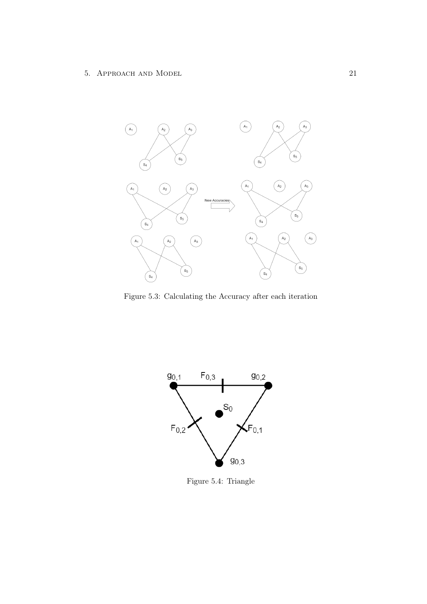

<span id="page-25-0"></span>Figure 5.3: Calculating the Accuracy after each iteration



Figure 5.4: Triangle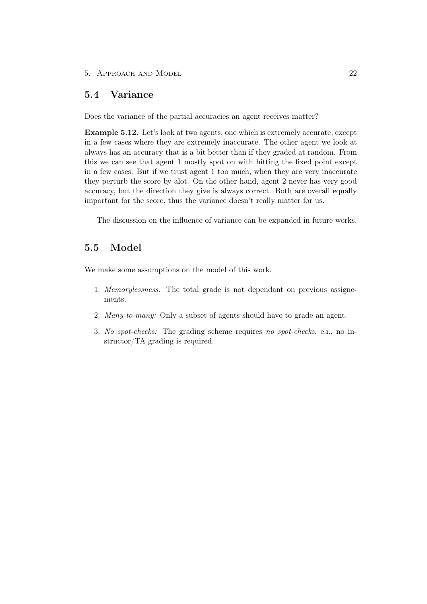#### 5. APPROACH AND MODEL 22

## <span id="page-26-0"></span>5.4 Variance

Does the variance of the partial accuracies an agent receives matter?

Example 5.12. Let's look at two agents, one which is extremely accurate, except in a few cases where they are extremely inaccurate. The other agent we look at always has an accuracy that is a bit better than if they graded at random. From this we can see that agent 1 mostly spot on with hitting the fixed point except in a few cases. But if we trust agent 1 too much, when they are very inaccurate they perturb the score by alot. On the other hand, agent 2 never has very good accuracy, but the direction they give is always correct. Both are overall equally important for the score, thus the variance doesn't really matter for us.

The discussion on the influence of variance can be expanded in future works.

## <span id="page-26-1"></span>5.5 Model

We make some assumptions on the model of this work.

- 1. Memorylessness: The total grade is not dependant on previous assignements.
- 2. Many-to-many: Only a subset of agents should have to grade an agent.
- 3. No spot-checks: The grading scheme requires no spot-checks, e.i., no instructor/TA grading is required.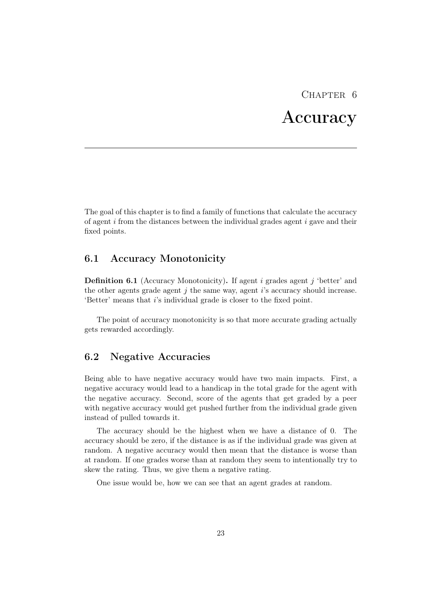# CHAPTER<sub>6</sub>

# Accuracy

<span id="page-27-0"></span>The goal of this chapter is to find a family of functions that calculate the accuracy of agent i from the distances between the individual grades agent i gave and their fixed points.

## <span id="page-27-1"></span>6.1 Accuracy Monotonicity

**Definition 6.1** (Accuracy Monotonicity). If agent i grades agent j 'better' and the other agents grade agent  $j$  the same way, agent  $i$ 's accuracy should increase. 'Better' means that i's individual grade is closer to the fixed point.

The point of accuracy monotonicity is so that more accurate grading actually gets rewarded accordingly.

## <span id="page-27-2"></span>6.2 Negative Accuracies

Being able to have negative accuracy would have two main impacts. First, a negative accuracy would lead to a handicap in the total grade for the agent with the negative accuracy. Second, score of the agents that get graded by a peer with negative accuracy would get pushed further from the individual grade given instead of pulled towards it.

The accuracy should be the highest when we have a distance of 0. The accuracy should be zero, if the distance is as if the individual grade was given at random. A negative accuracy would then mean that the distance is worse than at random. If one grades worse than at random they seem to intentionally try to skew the rating. Thus, we give them a negative rating.

One issue would be, how we can see that an agent grades at random.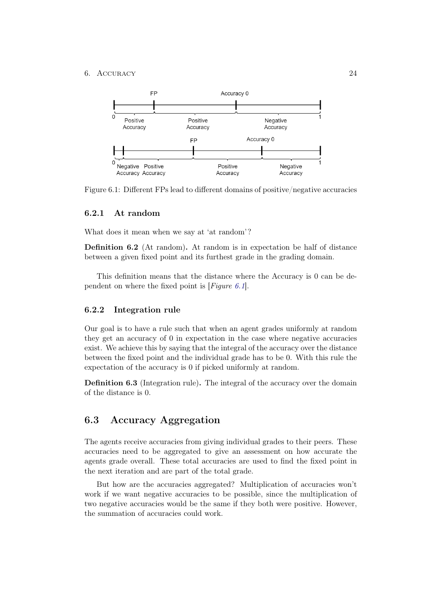#### 6. Accuracy 24



<span id="page-28-3"></span>Figure 6.1: Different FPs lead to different domains of positive/negative accuracies

### <span id="page-28-0"></span>6.2.1 At random

What does it mean when we say at 'at random'?

Definition 6.2 (At random). At random is in expectation be half of distance between a given fixed point and its furthest grade in the grading domain.

This definition means that the distance where the Accuracy is 0 can be dependent on where the fixed point is  $[Figure 6.1]$  $[Figure 6.1]$  $[Figure 6.1]$ .

### <span id="page-28-1"></span>6.2.2 Integration rule

Our goal is to have a rule such that when an agent grades uniformly at random they get an accuracy of 0 in expectation in the case where negative accuracies exist. We achieve this by saying that the integral of the accuracy over the distance between the fixed point and the individual grade has to be 0. With this rule the expectation of the accuracy is 0 if picked uniformly at random.

Definition 6.3 (Integration rule). The integral of the accuracy over the domain of the distance is 0.

## <span id="page-28-2"></span>6.3 Accuracy Aggregation

The agents receive accuracies from giving individual grades to their peers. These accuracies need to be aggregated to give an assessment on how accurate the agents grade overall. These total accuracies are used to find the fixed point in the next iteration and are part of the total grade.

But how are the accuracies aggregated? Multiplication of accuracies won't work if we want negative accuracies to be possible, since the multiplication of two negative accuracies would be the same if they both were positive. However, the summation of accuracies could work.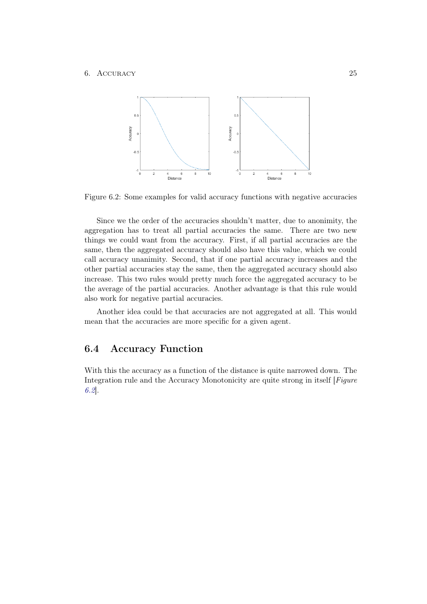#### 6. Accuracy 25



<span id="page-29-1"></span>Figure 6.2: Some examples for valid accuracy functions with negative accuracies

Since we the order of the accuracies shouldn't matter, due to anonimity, the aggregation has to treat all partial accuracies the same. There are two new things we could want from the accuracy. First, if all partial accuracies are the same, then the aggregated accuracy should also have this value, which we could call accuracy unanimity. Second, that if one partial accuracy increases and the other partial accuracies stay the same, then the aggregated accuracy should also increase. This two rules would pretty much force the aggregated accuracy to be the average of the partial accuracies. Another advantage is that this rule would also work for negative partial accuracies.

Another idea could be that accuracies are not aggregated at all. This would mean that the accuracies are more specific for a given agent.

## <span id="page-29-0"></span>6.4 Accuracy Function

With this the accuracy as a function of the distance is quite narrowed down. The Integration rule and the Accuracy Monotonicity are quite strong in itself [Figure [6.2](#page-29-1)].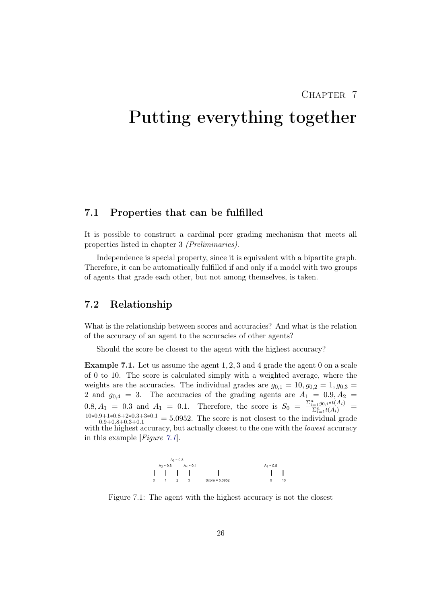## CHAPTER<sub>7</sub>

# <span id="page-30-0"></span>Putting everything together

## <span id="page-30-1"></span>7.1 Properties that can be fulfilled

It is possible to construct a cardinal peer grading mechanism that meets all properties listed in chapter 3 (Preliminaries).

Independence is special property, since it is equivalent with a bipartite graph. Therefore, it can be automatically fulfilled if and only if a model with two groups of agents that grade each other, but not among themselves, is taken.

## <span id="page-30-2"></span>7.2 Relationship

What is the relationship between scores and accuracies? And what is the relation of the accuracy of an agent to the accuracies of other agents?

Should the score be closest to the agent with the highest accuracy?

Example 7.1. Let us assume the agent 1, 2, 3 and 4 grade the agent 0 on a scale of 0 to 10. The score is calculated simply with a weighted average, where the weights are the accuracies. The individual grades are  $g_{0,1} = 10, g_{0,2} = 1, g_{0,3} =$ 2 and  $g_{0,4} = 3$ . The accuracies of the grading agents are  $A_1 = 0.9, A_2 = 1$  $0.8, A_1 = 0.3$  and  $A_1 = 0.1$ . Therefore, the score is  $S_0 = \frac{\sum_{i=1}^{n} g_{0,i} * t(A_i)}{\sum_{i=1}^{n} t(A_i)}$  $\frac{10*0.9+1*0.8+2*0.3+3*0.1}{0.9+0.8+0.3+0.1}$  = 5.0952. The score is not closest to the individual grade with the highest accuracy, but actually closest to the one with the *lowest* accuracy in this example [ $Figure 7.1$  $Figure 7.1$ ].

<span id="page-30-3"></span>

Figure 7.1: The agent with the highest accuracy is not the closest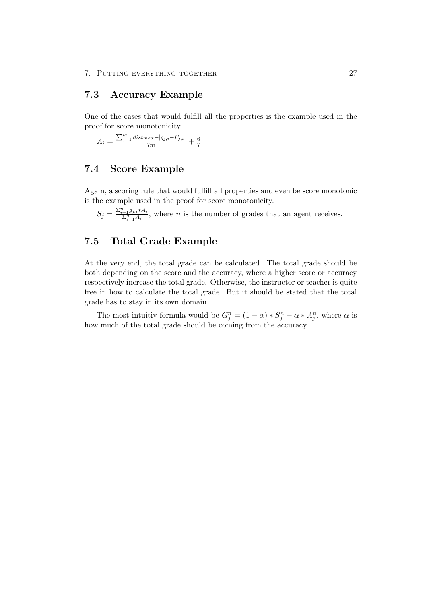## <span id="page-31-0"></span>7.3 Accuracy Example

One of the cases that would fulfill all the properties is the example used in the proof for score monotonicity.

$$
A_i = \frac{\sum_{j=1}^{m} dist_{max} - |g_{j,i} - F_{j,i}|}{7m} + \frac{6}{7}
$$

## <span id="page-31-1"></span>7.4 Score Example

Again, a scoring rule that would fulfill all properties and even be score monotonic is the example used in the proof for score monotonicity.

 $S_j = \frac{\sum_{i=1}^n g_{j,i} * A_i}{\sum_{i=1}^n A_i}$ , where *n* is the number of grades that an agent receives.

## <span id="page-31-2"></span>7.5 Total Grade Example

At the very end, the total grade can be calculated. The total grade should be both depending on the score and the accuracy, where a higher score or accuracy respectively increase the total grade. Otherwise, the instructor or teacher is quite free in how to calculate the total grade. But it should be stated that the total grade has to stay in its own domain.

The most intuitiv formula would be  $G_j^n = (1 - \alpha) * S_j^n + \alpha * A_j^n$ , where  $\alpha$  is how much of the total grade should be coming from the accuracy.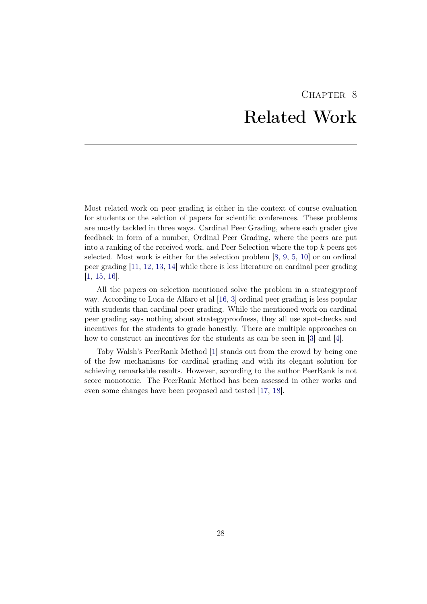# CHAPTER<sub>8</sub> Related Work

<span id="page-32-0"></span>Most related work on peer grading is either in the context of course evaluation for students or the selction of papers for scientific conferences. These problems are mostly tackled in three ways. Cardinal Peer Grading, where each grader give feedback in form of a number, Ordinal Peer Grading, where the peers are put into a ranking of the received work, and Peer Selection where the top  $k$  peers get selected. Most work is either for the selection problem [\[8,](#page-34-8) [9,](#page-34-9) [5,](#page-34-5) [10\]](#page-34-10) or on ordinal peer grading [\[11,](#page-35-0) [12,](#page-35-1) [13,](#page-35-2) [14\]](#page-35-3) while there is less literature on cardinal peer grading [\[1,](#page-34-1) [15,](#page-35-4) [16\]](#page-35-5).

All the papers on selection mentioned solve the problem in a strategyproof way. According to Luca de Alfaro et al [\[16,](#page-35-5) [3\]](#page-34-3) ordinal peer grading is less popular with students than cardinal peer grading. While the mentioned work on cardinal peer grading says nothing about strategyproofness, they all use spot-checks and incentives for the students to grade honestly. There are multiple approaches on how to construct an incentives for the students as can be seen in [\[3\]](#page-34-3) and [\[4\]](#page-34-4).

Toby Walsh's PeerRank Method [\[1\]](#page-34-1) stands out from the crowd by being one of the few mechanisms for cardinal grading and with its elegant solution for achieving remarkable results. However, according to the author PeerRank is not score monotonic. The PeerRank Method has been assessed in other works and even some changes have been proposed and tested [\[17,](#page-35-6) [18\]](#page-35-7).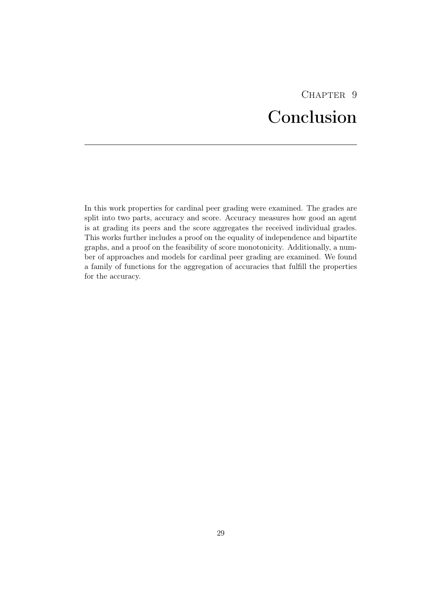# CHAPTER<sub>9</sub> Conclusion

<span id="page-33-0"></span>In this work properties for cardinal peer grading were examined. The grades are split into two parts, accuracy and score. Accuracy measures how good an agent is at grading its peers and the score aggregates the received individual grades. This works further includes a proof on the equality of independence and bipartite graphs, and a proof on the feasibility of score monotonicity. Additionally, a number of approaches and models for cardinal peer grading are examined. We found a family of functions for the aggregation of accuracies that fulfill the properties for the accuracy.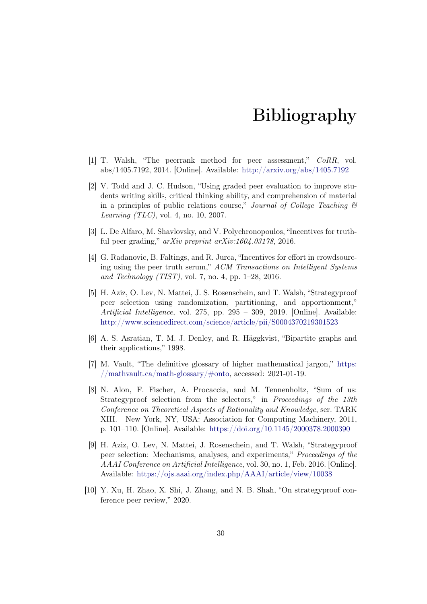# Bibliography

- <span id="page-34-1"></span><span id="page-34-0"></span>[1] T. Walsh, "The peerrank method for peer assessment," CoRR, vol. abs/1405.7192, 2014. [Online]. Available: <http://arxiv.org/abs/1405.7192>
- <span id="page-34-2"></span>[2] V. Todd and J. C. Hudson, "Using graded peer evaluation to improve students writing skills, critical thinking ability, and comprehension of material in a principles of public relations course," Journal of College Teaching  $\mathcal B$ *Learning (TLC)*, vol. 4, no. 10, 2007.
- <span id="page-34-3"></span>[3] L. De Alfaro, M. Shavlovsky, and V. Polychronopoulos, "Incentives for truthful peer grading," arXiv preprint arXiv:1604.03178, 2016.
- <span id="page-34-4"></span>[4] G. Radanovic, B. Faltings, and R. Jurca, "Incentives for effort in crowdsourcing using the peer truth serum," ACM Transactions on Intelligent Systems and Technology (TIST), vol. 7, no. 4, pp. 1–28, 2016.
- <span id="page-34-5"></span>[5] H. Aziz, O. Lev, N. Mattei, J. S. Rosenschein, and T. Walsh, "Strategyproof peer selection using randomization, partitioning, and apportionment," Artificial Intelligence, vol. 275, pp. 295 – 309, 2019. [Online]. Available: <http://www.sciencedirect.com/science/article/pii/S0004370219301523>
- <span id="page-34-7"></span>[6] A. S. Asratian, T. M. J. Denley, and R. Häggkvist, "Bipartite graphs and their applications," 1998.
- <span id="page-34-6"></span>[7] M. Vault, "The definitive glossary of higher mathematical jargon," [https:](https://mathvault.ca/math-glossary/#onto) [//mathvault.ca/math-glossary/#onto,](https://mathvault.ca/math-glossary/#onto) accessed: 2021-01-19.
- <span id="page-34-8"></span>[8] N. Alon, F. Fischer, A. Procaccia, and M. Tennenholtz, "Sum of us: Strategyproof selection from the selectors," in Proceedings of the 13th Conference on Theoretical Aspects of Rationality and Knowledge, ser. TARK XIII. New York, NY, USA: Association for Computing Machinery, 2011, p. 101–110. [Online]. Available: <https://doi.org/10.1145/2000378.2000390>
- <span id="page-34-9"></span>[9] H. Aziz, O. Lev, N. Mattei, J. Rosenschein, and T. Walsh, "Strategyproof peer selection: Mechanisms, analyses, and experiments," Proceedings of the AAAI Conference on Artificial Intelligence, vol. 30, no. 1, Feb. 2016. [Online]. Available: <https://ojs.aaai.org/index.php/AAAI/article/view/10038>
- <span id="page-34-10"></span>[10] Y. Xu, H. Zhao, X. Shi, J. Zhang, and N. B. Shah, "On strategyproof conference peer review," 2020.